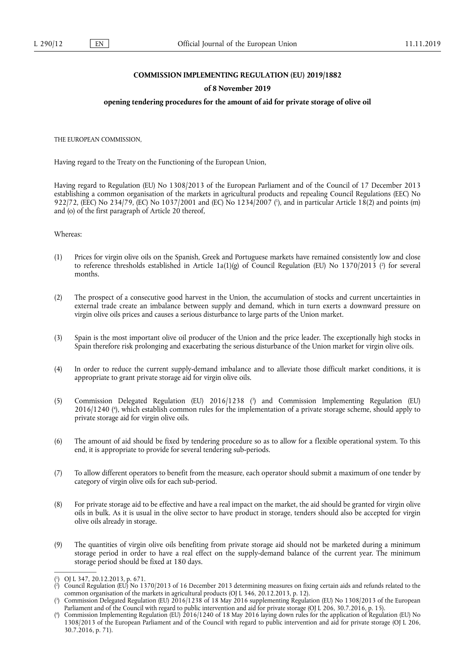## **COMMISSION IMPLEMENTING REGULATION (EU) 2019/1882**

#### **of 8 November 2019**

#### **opening tendering procedures for the amount of aid for private storage of olive oil**

THE EUROPEAN COMMISSION,

Having regard to the Treaty on the Functioning of the European Union,

Having regard to Regulation (EU) No 1308/2013 of the European Parliament and of the Council of 17 December 2013 establishing a common organisation of the markets in agricultural products and repealing Council Regulations (EEC) No 922/72, (EEC) No 234/79, (EC) No 1037/2001 and (EC) No 1234/2007 ( 1 ), and in particular Article 18(2) and points (m) and (o) of the first paragraph of Article 20 thereof,

### Whereas:

- (1) Prices for virgin olive oils on the Spanish, Greek and Portuguese markets have remained consistently low and close to reference thresholds established in Article 1a(1)(g) of Council Regulation (EU) No 1370/2013 ( 2 ) for several months.
- (2) The prospect of a consecutive good harvest in the Union, the accumulation of stocks and current uncertainties in external trade create an imbalance between supply and demand, which in turn exerts a downward pressure on virgin olive oils prices and causes a serious disturbance to large parts of the Union market.
- (3) Spain is the most important olive oil producer of the Union and the price leader. The exceptionally high stocks in Spain therefore risk prolonging and exacerbating the serious disturbance of the Union market for virgin olive oils.
- (4) In order to reduce the current supply-demand imbalance and to alleviate those difficult market conditions, it is appropriate to grant private storage aid for virgin olive oils.
- (5) Commission Delegated Regulation (EU) 2016/1238 ( 3 ) and Commission Implementing Regulation (EU) 2016/1240 ( 4 ), which establish common rules for the implementation of a private storage scheme, should apply to private storage aid for virgin olive oils.
- (6) The amount of aid should be fixed by tendering procedure so as to allow for a flexible operational system. To this end, it is appropriate to provide for several tendering sub-periods.
- (7) To allow different operators to benefit from the measure, each operator should submit a maximum of one tender by category of virgin olive oils for each sub-period.
- (8) For private storage aid to be effective and have a real impact on the market, the aid should be granted for virgin olive oils in bulk. As it is usual in the olive sector to have product in storage, tenders should also be accepted for virgin olive oils already in storage.
- (9) The quantities of virgin olive oils benefiting from private storage aid should not be marketed during a minimum storage period in order to have a real effect on the supply-demand balance of the current year. The minimum storage period should be fixed at 180 days.

<sup>(</sup> 1 ) OJ L 347, 20.12.2013, p. 671.

<sup>(</sup> 2 ) Council Regulation (EU) No 1370/2013 of 16 December 2013 determining measures on fixing certain aids and refunds related to the common organisation of the markets in agricultural products (OJ L 346, 20.12.2013, p. 12).

<sup>(</sup> 3 ) Commission Delegated Regulation (EU) 2016/1238 of 18 May 2016 supplementing Regulation (EU) No 1308/2013 of the European Parliament and of the Council with regard to public intervention and aid for private storage (OJ L 206, 30.7.2016, p. 15).

<sup>(</sup> 4 ) Commission Implementing Regulation (EU) 2016/1240 of 18 May 2016 laying down rules for the application of Regulation (EU) No 1308/2013 of the European Parliament and of the Council with regard to public intervention and aid for private storage (OJ L 206, 30.7.2016, p. 71).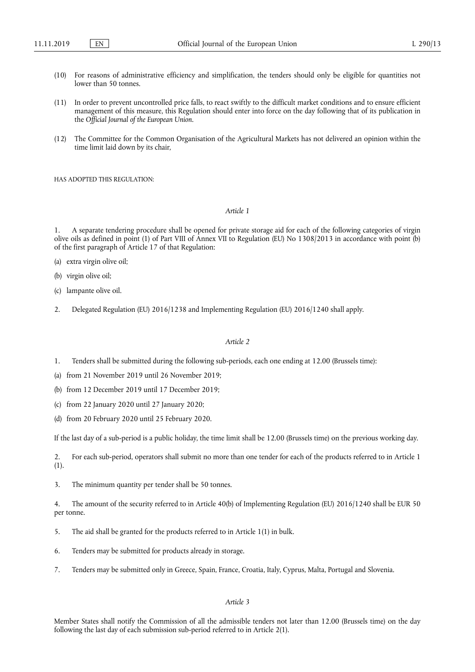- (10) For reasons of administrative efficiency and simplification, the tenders should only be eligible for quantities not lower than 50 tonnes.
- (11) In order to prevent uncontrolled price falls, to react swiftly to the difficult market conditions and to ensure efficient management of this measure, this Regulation should enter into force on the day following that of its publication in the *Official Journal of the European Union*.
- (12) The Committee for the Common Organisation of the Agricultural Markets has not delivered an opinion within the time limit laid down by its chair,

HAS ADOPTED THIS REGULATION:

*Article 1* 

1. A separate tendering procedure shall be opened for private storage aid for each of the following categories of virgin olive oils as defined in point (1) of Part VIII of Annex VII to Regulation (EU) No 1308/2013 in accordance with point (b) of the first paragraph of Article 17 of that Regulation:

- (a) extra virgin olive oil;
- (b) virgin olive oil;
- (c) lampante olive oil.
- 2. Delegated Regulation (EU) 2016/1238 and Implementing Regulation (EU) 2016/1240 shall apply.

#### *Article 2*

- 1. Tenders shall be submitted during the following sub-periods, each one ending at 12.00 (Brussels time):
- (a) from 21 November 2019 until 26 November 2019;
- (b) from 12 December 2019 until 17 December 2019;
- (c) from 22 January 2020 until 27 January 2020;
- (d) from 20 February 2020 until 25 February 2020.

If the last day of a sub-period is a public holiday, the time limit shall be 12.00 (Brussels time) on the previous working day.

2. For each sub-period, operators shall submit no more than one tender for each of the products referred to in Article 1 (1).

3. The minimum quantity per tender shall be 50 tonnes.

4. The amount of the security referred to in Article 40(b) of Implementing Regulation (EU) 2016/1240 shall be EUR 50 per tonne.

- 5. The aid shall be granted for the products referred to in Article 1(1) in bulk.
- 6. Tenders may be submitted for products already in storage.
- 7. Tenders may be submitted only in Greece, Spain, France, Croatia, Italy, Cyprus, Malta, Portugal and Slovenia.

## *Article 3*

Member States shall notify the Commission of all the admissible tenders not later than 12.00 (Brussels time) on the day following the last day of each submission sub-period referred to in Article 2(1).